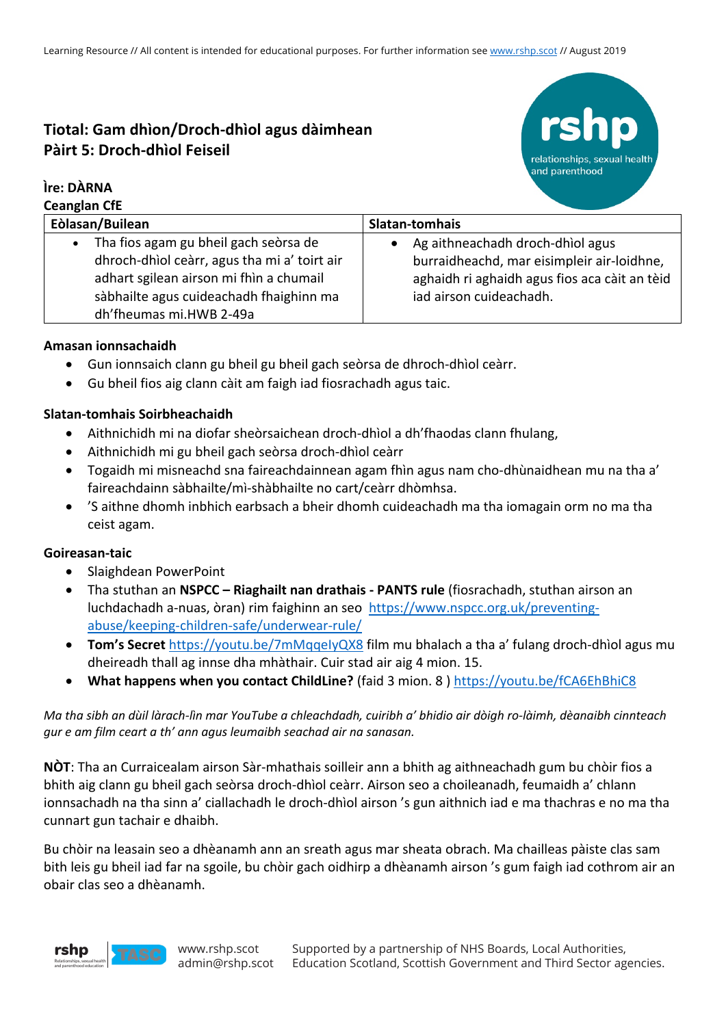# **Tiotal: Gam dhìon/Droch-dhìol agus dàimhean Pàirt 5: Droch-dhìol Feiseil**

## **Ìre: DÀRNA**

**Ceanglan CfE**



| <b>CEANGIAN CIL</b>                          |                                               |
|----------------------------------------------|-----------------------------------------------|
| Eòlasan/Builean                              | Slatan-tomhais                                |
| • Tha fios agam gu bheil gach seòrsa de      | Ag aithneachadh droch-dhìol agus              |
| dhroch-dhìol ceàrr, agus tha mi a' toirt air | burraidheachd, mar eisimpleir air-loidhne,    |
| adhart sgilean airson mi fhìn a chumail      | aghaidh ri aghaidh agus fios aca càit an tèid |
| sàbhailte agus cuideachadh fhaighinn ma      | iad airson cuideachadh.                       |
| dh'fheumas mi.HWB 2-49a                      |                                               |

## **Amasan ionnsachaidh**

- Gun ionnsaich clann gu bheil gu bheil gach seòrsa de dhroch-dhìol ceàrr.
- Gu bheil fios aig clann càit am faigh iad fiosrachadh agus taic.

## **Slatan-tomhais Soirbheachaidh**

- Aithnichidh mi na diofar sheòrsaichean droch-dhìol a dh'fhaodas clann fhulang,
- Aithnichidh mi gu bheil gach seòrsa droch-dhìol ceàrr
- Togaidh mi misneachd sna faireachdainnean agam fhìn agus nam cho-dhùnaidhean mu na tha a' faireachdainn sàbhailte/mì-shàbhailte no cart/ceàrr dhòmhsa.
- 'S aithne dhomh inbhich earbsach a bheir dhomh cuideachadh ma tha iomagain orm no ma tha ceist agam.

### **Goireasan-taic**

- Slaighdean PowerPoint
- Tha stuthan an **NSPCC – Riaghailt nan drathais - PANTS rule** (fiosrachadh, stuthan airson an luchdachadh a-nuas, òran) rim faighinn an seo https://www.nspcc.org.uk/preventingabuse/keeping-children-safe/underwear-rule/
- **Tom's Secret** https://youtu.be/7mMqqeIyQX8 film mu bhalach a tha a' fulang droch-dhìol agus mu dheireadh thall ag innse dha mhàthair. Cuir stad air aig 4 mion. 15.
- **What happens when you contact ChildLine?** (faid 3 mion. 8 ) https://youtu.be/fCA6EhBhiC8

*Ma tha sibh an dùil làrach-lìn mar YouTube a chleachdadh, cuiribh a' bhidio air dòigh ro-làimh, dèanaibh cinnteach gur e am film ceart a th' ann agus leumaibh seachad air na sanasan.*

**NÒT**: Tha an Curraicealam airson Sàr-mhathais soilleir ann a bhith ag aithneachadh gum bu chòir fios a bhith aig clann gu bheil gach seòrsa droch-dhìol ceàrr. Airson seo a choileanadh, feumaidh a' chlann ionnsachadh na tha sinn a' ciallachadh le droch-dhìol airson 's gun aithnich iad e ma thachras e no ma tha cunnart gun tachair e dhaibh.

Bu chòir na leasain seo a dhèanamh ann an sreath agus mar sheata obrach. Ma chailleas pàiste clas sam bith leis gu bheil iad far na sgoile, bu chòir gach oidhirp a dhèanamh airson 's gum faigh iad cothrom air an obair clas seo a dhèanamh.

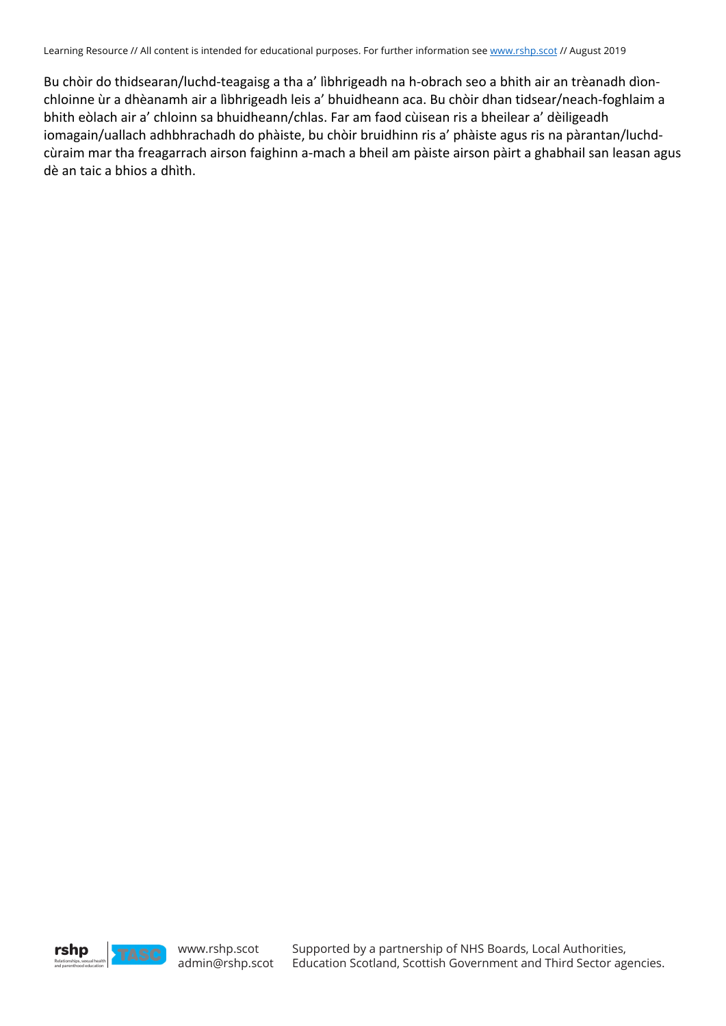Learning Resource // All content is intended for educational purposes. For further information see www.rshp.scot // August 2019

Bu chòir do thidsearan/luchd-teagaisg a tha a' lìbhrigeadh na h-obrach seo a bhith air an trèanadh dìonchloinne ùr a dhèanamh air a lìbhrigeadh leis a' bhuidheann aca. Bu chòir dhan tidsear/neach-foghlaim a bhith eòlach air a' chloinn sa bhuidheann/chlas. Far am faod cùisean ris a bheilear a' dèiligeadh iomagain/uallach adhbhrachadh do phàiste, bu chòir bruidhinn ris a' phàiste agus ris na pàrantan/luchdcùraim mar tha freagarrach airson faighinn a-mach a bheil am pàiste airson pàirt a ghabhail san leasan agus dè an taic a bhios a dhìth.

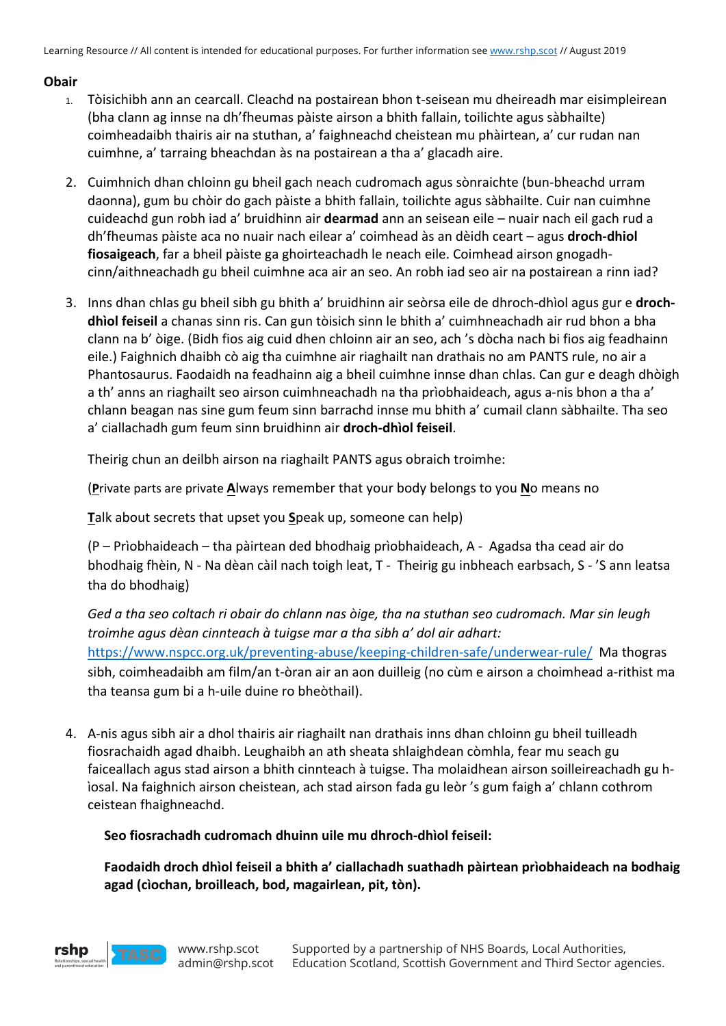Learning Resource // All content is intended for educational purposes. For further information see www.rshp.scot // August 2019

## **Obair**

- 1. Tòisichibh ann an cearcall. Cleachd na postairean bhon t-seisean mu dheireadh mar eisimpleirean (bha clann ag innse na dh'fheumas pàiste airson a bhith fallain, toilichte agus sàbhailte) coimheadaibh thairis air na stuthan, a' faighneachd cheistean mu phàirtean, a' cur rudan nan cuimhne, a' tarraing bheachdan às na postairean a tha a' glacadh aire.
- 2. Cuimhnich dhan chloinn gu bheil gach neach cudromach agus sònraichte (bun-bheachd urram daonna), gum bu chòir do gach pàiste a bhith fallain, toilichte agus sàbhailte. Cuir nan cuimhne cuideachd gun robh iad a' bruidhinn air **dearmad** ann an seisean eile – nuair nach eil gach rud a dh'fheumas pàiste aca no nuair nach eilear a' coimhead às an dèidh ceart – agus **droch-dhiol fiosaigeach**, far a bheil pàiste ga ghoirteachadh le neach eile. Coimhead airson gnogadhcinn/aithneachadh gu bheil cuimhne aca air an seo. An robh iad seo air na postairean a rinn iad?
- 3. Inns dhan chlas gu bheil sibh gu bhith a' bruidhinn air seòrsa eile de dhroch-dhìol agus gur e **drochdhìol feiseil** a chanas sinn ris. Can gun tòisich sinn le bhith a' cuimhneachadh air rud bhon a bha clann na b' òige. (Bidh fios aig cuid dhen chloinn air an seo, ach 's dòcha nach bi fios aig feadhainn eile.) Faighnich dhaibh cò aig tha cuimhne air riaghailt nan drathais no am PANTS rule, no air a Phantosaurus. Faodaidh na feadhainn aig a bheil cuimhne innse dhan chlas. Can gur e deagh dhòigh a th' anns an riaghailt seo airson cuimhneachadh na tha prìobhaideach, agus a-nis bhon a tha a' chlann beagan nas sine gum feum sinn barrachd innse mu bhith a' cumail clann sàbhailte. Tha seo a' ciallachadh gum feum sinn bruidhinn air **droch-dhìol feiseil**.

Theirig chun an deilbh airson na riaghailt PANTS agus obraich troimhe:

(**P**rivate parts are private **A**lways remember that your body belongs to you **N**o means no

**T**alk about secrets that upset you **S**peak up, someone can help)

(P – Prìobhaideach – tha pàirtean ded bhodhaig prìobhaideach, A - Agadsa tha cead air do bhodhaig fhèin, N - Na dèan càil nach toigh leat, T - Theirig gu inbheach earbsach, S - 'S ann leatsa tha do bhodhaig)

*Ged a tha seo coltach ri obair do chlann nas òige, tha na stuthan seo cudromach. Mar sin leugh troimhe agus dèan cinnteach à tuigse mar a tha sibh a' dol air adhart:* https://www.nspcc.org.uk/preventing-abuse/keeping-children-safe/underwear-rule/ Ma thogras sibh, coimheadaibh am film/an t-òran air an aon duilleig (no cùm e airson a choimhead a-rithist ma tha teansa gum bi a h-uile duine ro bheòthail).

4. A-nis agus sibh air a dhol thairis air riaghailt nan drathais inns dhan chloinn gu bheil tuilleadh fiosrachaidh agad dhaibh. Leughaibh an ath sheata shlaighdean còmhla, fear mu seach gu faiceallach agus stad airson a bhith cinnteach à tuigse. Tha molaidhean airson soilleireachadh gu hìosal. Na faighnich airson cheistean, ach stad airson fada gu leòr 's gum faigh a' chlann cothrom ceistean fhaighneachd.

### **Seo fiosrachadh cudromach dhuinn uile mu dhroch-dhìol feiseil:**

**Faodaidh droch dhìol feiseil a bhith a' ciallachadh suathadh pàirtean prìobhaideach na bodhaig agad (cìochan, broilleach, bod, magairlean, pit, tòn).**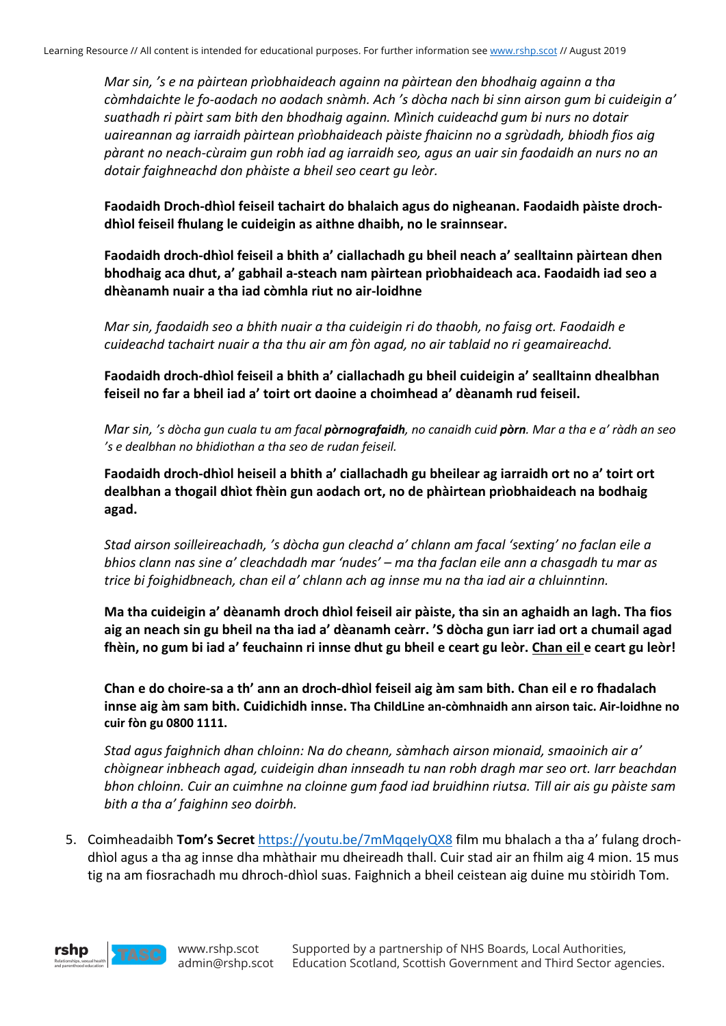*Mar sin, 's e na pàirtean prìobhaideach againn na pàirtean den bhodhaig againn a tha còmhdaichte le fo-aodach no aodach snàmh. Ach 's dòcha nach bi sinn airson gum bi cuideigin a' suathadh ri pàirt sam bith den bhodhaig againn. Mìnich cuideachd gum bi nurs no dotair uaireannan ag iarraidh pàirtean prìobhaideach pàiste fhaicinn no a sgrùdadh, bhiodh fios aig pàrant no neach-cùraim gun robh iad ag iarraidh seo, agus an uair sin faodaidh an nurs no an dotair faighneachd don phàiste a bheil seo ceart gu leòr.*

**Faodaidh Droch-dhìol feiseil tachairt do bhalaich agus do nigheanan. Faodaidh pàiste drochdhìol feiseil fhulang le cuideigin as aithne dhaibh, no le srainnsear.**

**Faodaidh droch-dhìol feiseil a bhith a' ciallachadh gu bheil neach a' sealltainn pàirtean dhen bhodhaig aca dhut, a' gabhail a-steach nam pàirtean prìobhaideach aca. Faodaidh iad seo a dhèanamh nuair a tha iad còmhla riut no air-loidhne**

*Mar sin, faodaidh seo a bhith nuair a tha cuideigin ri do thaobh, no faisg ort. Faodaidh e cuideachd tachairt nuair a tha thu air am fòn agad, no air tablaid no ri geamaireachd.* 

**Faodaidh droch-dhìol feiseil a bhith a' ciallachadh gu bheil cuideigin a' sealltainn dhealbhan feiseil no far a bheil iad a' toirt ort daoine a choimhead a' dèanamh rud feiseil.**

*Mar sin, 's dòcha gun cuala tu am facal pòrnografaidh, no canaidh cuid pòrn. Mar a tha e a' ràdh an seo 's e dealbhan no bhidiothan a tha seo de rudan feiseil.* 

**Faodaidh droch-dhìol heiseil a bhith a' ciallachadh gu bheilear ag iarraidh ort no a' toirt ort dealbhan a thogail dhìot fhèin gun aodach ort, no de phàirtean prìobhaideach na bodhaig agad.**

*Stad airson soilleireachadh, 's dòcha gun cleachd a' chlann am facal 'sexting' no faclan eile a bhios clann nas sine a' cleachdadh mar 'nudes' – ma tha faclan eile ann a chasgadh tu mar as trice bi foighidbneach, chan eil a' chlann ach ag innse mu na tha iad air a chluinntinn.* 

**Ma tha cuideigin a' dèanamh droch dhìol feiseil air pàiste, tha sin an aghaidh an lagh. Tha fios aig an neach sin gu bheil na tha iad a' dèanamh ceàrr. 'S dòcha gun iarr iad ort a chumail agad fhèin, no gum bi iad a' feuchainn ri innse dhut gu bheil e ceart gu leòr. Chan eil e ceart gu leòr!**

**Chan e do choire-sa a th' ann an droch-dhìol feiseil aig àm sam bith. Chan eil e ro fhadalach innse aig àm sam bith. Cuidichidh innse. Tha ChildLine an-còmhnaidh ann airson taic. Air-loidhne no cuir fòn gu 0800 1111.**

*Stad agus faighnich dhan chloinn: Na do cheann, sàmhach airson mionaid, smaoinich air a' chòignear inbheach agad, cuideigin dhan innseadh tu nan robh dragh mar seo ort. Iarr beachdan bhon chloinn. Cuir an cuimhne na cloinne gum faod iad bruidhinn riutsa. Till air ais gu pàiste sam bith a tha a' faighinn seo doirbh.*

5. Coimheadaibh **Tom's Secret** https://youtu.be/7mMqqeIyQX8 film mu bhalach a tha a' fulang drochdhìol agus a tha ag innse dha mhàthair mu dheireadh thall. Cuir stad air an fhilm aig 4 mion. 15 mus tig na am fiosrachadh mu dhroch-dhìol suas. Faighnich a bheil ceistean aig duine mu stòiridh Tom.

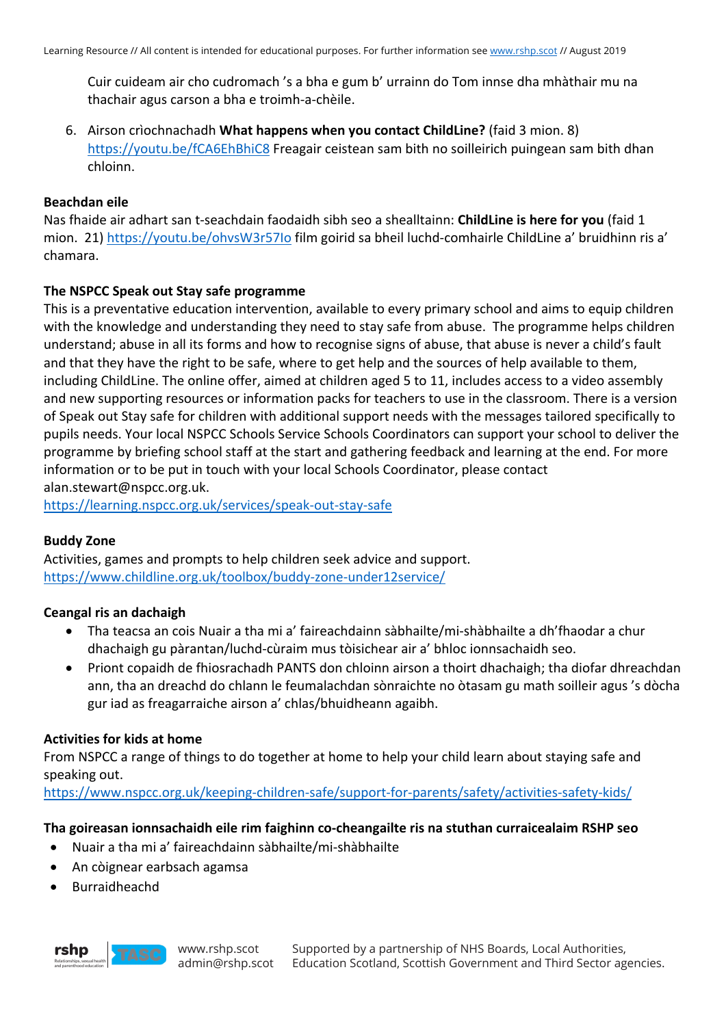Cuir cuideam air cho cudromach 's a bha e gum b' urrainn do Tom innse dha mhàthair mu na thachair agus carson a bha e troimh-a-chèile.

6. Airson crìochnachadh **What happens when you contact ChildLine?** (faid 3 mion. 8) https://youtu.be/fCA6EhBhiC8 Freagair ceistean sam bith no soilleirich puingean sam bith dhan chloinn.

### **Beachdan eile**

Nas fhaide air adhart san t-seachdain faodaidh sibh seo a shealltainn: **ChildLine is here for you** (faid 1 mion. 21) https://youtu.be/ohvsW3r57Io film goirid sa bheil luchd-comhairle ChildLine a' bruidhinn ris a' chamara.

## **The NSPCC Speak out Stay safe programme**

This is a preventative education intervention, available to every primary school and aims to equip children with the knowledge and understanding they need to stay safe from abuse. The programme helps children understand; abuse in all its forms and how to recognise signs of abuse, that abuse is never a child's fault and that they have the right to be safe, where to get help and the sources of help available to them, including ChildLine. The online offer, aimed at children aged 5 to 11, includes access to a video assembly and new supporting resources or information packs for teachers to use in the classroom. There is a version of Speak out Stay safe for children with additional support needs with the messages tailored specifically to pupils needs. Your local NSPCC Schools Service Schools Coordinators can support your school to deliver the programme by briefing school staff at the start and gathering feedback and learning at the end. For more information or to be put in touch with your local Schools Coordinator, please contact alan.stewart@nspcc.org.uk.

https://learning.nspcc.org.uk/services/speak-out-stay-safe

### **Buddy Zone**

Activities, games and prompts to help children seek advice and support. https://www.childline.org.uk/toolbox/buddy-zone-under12service/

### **Ceangal ris an dachaigh**

- Tha teacsa an cois Nuair a tha mi a' faireachdainn sàbhailte/mi-shàbhailte a dh'fhaodar a chur dhachaigh gu pàrantan/luchd-cùraim mus tòisichear air a' bhloc ionnsachaidh seo.
- Priont copaidh de fhiosrachadh PANTS don chloinn airson a thoirt dhachaigh; tha diofar dhreachdan ann, tha an dreachd do chlann le feumalachdan sònraichte no òtasam gu math soilleir agus 's dòcha gur iad as freagarraiche airson a' chlas/bhuidheann agaibh.

### **Activities for kids at home**

From NSPCC a range of things to do together at home to help your child learn about staying safe and speaking out.

https://www.nspcc.org.uk/keeping-children-safe/support-for-parents/safety/activities-safety-kids/

### **Tha goireasan ionnsachaidh eile rim faighinn co-cheangailte ris na stuthan curraicealaim RSHP seo**

- Nuair a tha mi a' faireachdainn sàbhailte/mi-shàbhailte
- An còignear earbsach agamsa
- **Burraidheachd**